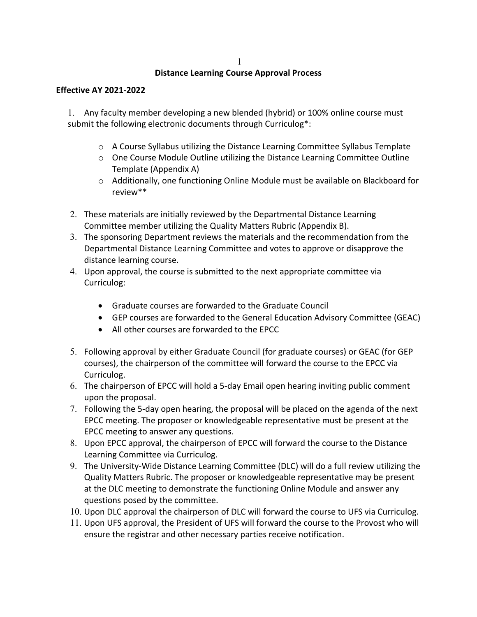### **Distance Learning Course Approval Process**

#### **Effective AY 2021-2022**

1. Any faculty member developing a new blended (hybrid) or 100% online course must submit the following electronic documents through Curriculog\*:

- o A Course Syllabus utilizing the Distance Learning Committee Syllabus Template
- o One Course Module Outline utilizing the Distance Learning Committee Outline Template (Appendix A)
- $\circ$  Additionally, one functioning Online Module must be available on Blackboard for review\*\*
- 2. These materials are initially reviewed by the Departmental Distance Learning Committee member utilizing the Quality Matters Rubric (Appendix B).
- 3. The sponsoring Department reviews the materials and the recommendation from the Departmental Distance Learning Committee and votes to approve or disapprove the distance learning course.
- 4. Upon approval, the course is submitted to the next appropriate committee via Curriculog:
	- Graduate courses are forwarded to the Graduate Council
	- GEP courses are forwarded to the General Education Advisory Committee (GEAC)
	- All other courses are forwarded to the EPCC
- 5. Following approval by either Graduate Council (for graduate courses) or GEAC (for GEP courses), the chairperson of the committee will forward the course to the EPCC via Curriculog.
- 6. The chairperson of EPCC will hold a 5-day Email open hearing inviting public comment upon the proposal.
- 7. Following the 5-day open hearing, the proposal will be placed on the agenda of the next EPCC meeting. The proposer or knowledgeable representative must be present at the EPCC meeting to answer any questions.
- 8. Upon EPCC approval, the chairperson of EPCC will forward the course to the Distance Learning Committee via Curriculog.
- 9. The University-Wide Distance Learning Committee (DLC) will do a full review utilizing the Quality Matters Rubric. The proposer or knowledgeable representative may be present at the DLC meeting to demonstrate the functioning Online Module and answer any questions posed by the committee.
- 10. Upon DLC approval the chairperson of DLC will forward the course to UFS via Curriculog.
- 11. Upon UFS approval, the President of UFS will forward the course to the Provost who will ensure the registrar and other necessary parties receive notification.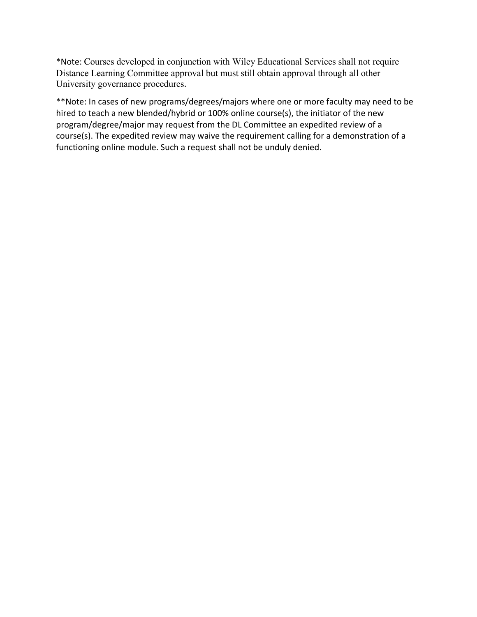\*Note: Courses developed in conjunction with Wiley Educational Services shall not require Distance Learning Committee approval but must still obtain approval through all other University governance procedures.

\*\*Note: In cases of new programs/degrees/majors where one or more faculty may need to be hired to teach a new blended/hybrid or 100% online course(s), the initiator of the new program/degree/major may request from the DL Committee an expedited review of a course(s). The expedited review may waive the requirement calling for a demonstration of a functioning online module. Such a request shall not be unduly denied.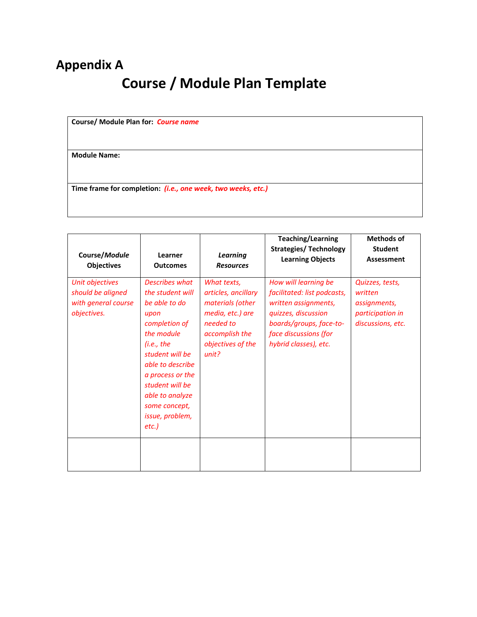## **Appendix A Course / Module Plan Template**

**Course/ Module Plan for:** *Course name*

**Module Name:** 

**Time frame for completion:** *(i.e., one week, two weeks, etc.)*

| Course/Module<br><b>Objectives</b>                                         | Learner<br><b>Outcomes</b>                                                                                                                                                                                                                                    | <b>Learning</b><br><b>Resources</b>                                                                                                     | <b>Teaching/Learning</b><br><b>Strategies/ Technology</b><br><b>Learning Objects</b>                                                                                            | <b>Methods of</b><br><b>Student</b><br>Assessment                                   |
|----------------------------------------------------------------------------|---------------------------------------------------------------------------------------------------------------------------------------------------------------------------------------------------------------------------------------------------------------|-----------------------------------------------------------------------------------------------------------------------------------------|---------------------------------------------------------------------------------------------------------------------------------------------------------------------------------|-------------------------------------------------------------------------------------|
| Unit objectives<br>should be aligned<br>with general course<br>objectives. | <b>Describes what</b><br>the student will<br>be able to do<br>upon<br>completion of<br>the module<br>(i.e., the<br>student will be<br>able to describe<br>a process or the<br>student will be<br>able to analyze<br>some concept,<br>issue, problem,<br>etc.) | What texts,<br>articles, ancillary<br>materials (other<br>media, etc.) are<br>needed to<br>accomplish the<br>objectives of the<br>unit? | How will learning be<br>facilitated: list podcasts,<br>written assignments,<br>quizzes, discussion<br>boards/groups, face-to-<br>face discussions (for<br>hybrid classes), etc. | Quizzes, tests,<br>written<br>assignments,<br>participation in<br>discussions, etc. |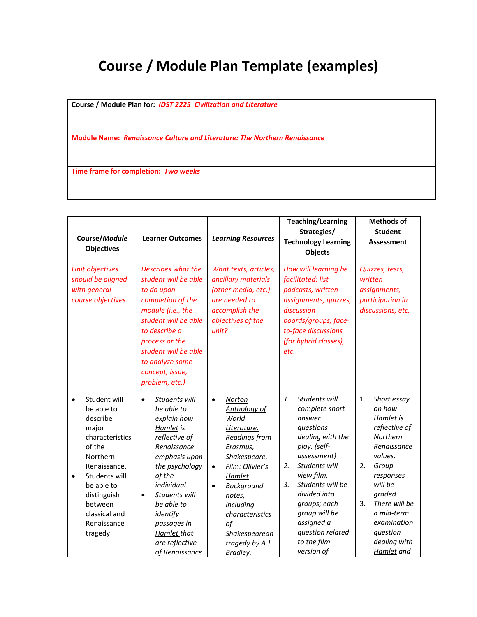# **Course / Module Plan Template (examples)**

**Course / Module Plan for:** *IDST 2225 Civilization and Literature*

**Module Name:** *Renaissance Culture and Literature: The Northern Renaissance*

**Time frame for completion:** *Two weeks*

| Course/Module<br><b>Objectives</b>                                                                                                                                                                                                     | <b>Learner Outcomes</b>                                                                                                                                                                                                                                                                    | <b>Learning Resources</b>                                                                                                                                                                                                                                                     | <b>Teaching/Learning</b><br>Strategies/<br><b>Technology Learning</b><br>Objects                                                                                                                                                                                                                                         | <b>Methods of</b><br><b>Student</b><br><b>Assessment</b>                                                                                                                                                                                                    |
|----------------------------------------------------------------------------------------------------------------------------------------------------------------------------------------------------------------------------------------|--------------------------------------------------------------------------------------------------------------------------------------------------------------------------------------------------------------------------------------------------------------------------------------------|-------------------------------------------------------------------------------------------------------------------------------------------------------------------------------------------------------------------------------------------------------------------------------|--------------------------------------------------------------------------------------------------------------------------------------------------------------------------------------------------------------------------------------------------------------------------------------------------------------------------|-------------------------------------------------------------------------------------------------------------------------------------------------------------------------------------------------------------------------------------------------------------|
| Unit objectives<br>should be aligned<br>with general<br>course objectives.                                                                                                                                                             | Describes what the<br>student will be able<br>to do upon<br>completion of the<br>module (i.e., the<br>student will be able<br>to describe a<br>process or the<br>student will be able<br>to analyze some<br>concept, issue,<br>problem, etc.)                                              | What texts, articles,<br>ancillary materials<br>(other media, etc.)<br>are needed to<br>accomplish the<br>objectives of the<br>unit?                                                                                                                                          | How will learning be<br>facilitated: list<br>podcasts, written<br>assignments, quizzes,<br>discussion<br>boards/groups, face-<br>to-face discussions<br>(for hybrid classes),<br>etc.                                                                                                                                    | Quizzes, tests,<br>written<br>assignments,<br>participation in<br>discussions, etc.                                                                                                                                                                         |
| Student will<br>$\bullet$<br>be able to<br>describe<br>major<br>characteristics<br>of the<br>Northern<br>Renaissance.<br>Students will<br>$\bullet$<br>be able to<br>distinguish<br>between<br>classical and<br>Renaissance<br>tragedy | Students will<br>$\bullet$<br>be able to<br>explain how<br>Hamlet is<br>reflective of<br>Renaissance<br>emphasis upon<br>the psychology<br>of the<br>individual.<br>Students will<br>$\bullet$<br>be able to<br>identify<br>passages in<br>Hamlet that<br>are reflective<br>of Renaissance | $\bullet$<br>Norton<br>Anthology of<br>World<br>Literature.<br>Readings from<br>Erasmus,<br>Shakespeare.<br>Film: Olivier's<br>$\bullet$<br>Hamlet<br>Background<br>$\bullet$<br>notes,<br>including<br>characteristics<br>of<br>Shakespearean<br>tragedy by A.J.<br>Bradley. | $\mathbf{1}$ .<br>Students will<br>complete short<br>answer<br>questions<br>dealing with the<br>play. (self-<br>assessment)<br>Students will<br>2.<br>view film.<br>Students will be<br>$\overline{3}$ .<br>divided into<br>groups; each<br>group will be<br>assigned a<br>question related<br>to the film<br>version of | 1.<br>Short essay<br>on how<br>Hamlet is<br>reflective of<br>Northern<br>Renaissance<br>values.<br>2.<br>Group<br>responses<br>will be<br>graded.<br>3 <sub>1</sub><br>There will be<br>a mid-term<br>examination<br>question<br>dealing with<br>Hamlet and |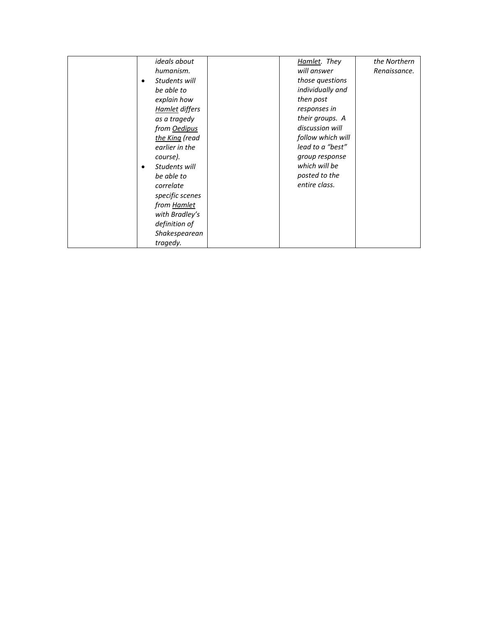| ideals about       | Hamlet. They      | the Northern |
|--------------------|-------------------|--------------|
| humanism.          | will answer       | Renaissance. |
| Students will<br>٠ | those questions   |              |
| be able to         | individually and  |              |
| explain how        | then post         |              |
| Hamlet differs     | responses in      |              |
| as a tragedy       | their groups. A   |              |
| from Oedipus       | discussion will   |              |
| the King (read     | follow which will |              |
| earlier in the     | lead to a "best"  |              |
| course).           | group response    |              |
| Students will      | which will be     |              |
| be able to         | posted to the     |              |
| correlate          | entire class.     |              |
| specific scenes    |                   |              |
| from Hamlet        |                   |              |
| with Bradley's     |                   |              |
| definition of      |                   |              |
| Shakespearean      |                   |              |
| tragedy.           |                   |              |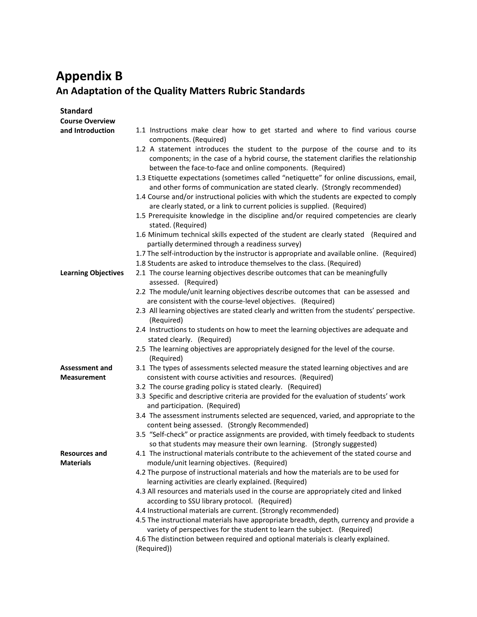### **Appendix B An Adaptation of the Quality Matters Rubric Standards**

| <b>Standard</b><br><b>Course Overview</b> |                                                                                                                                                                 |
|-------------------------------------------|-----------------------------------------------------------------------------------------------------------------------------------------------------------------|
| and Introduction                          | 1.1 Instructions make clear how to get started and where to find various course                                                                                 |
|                                           | components. (Required)                                                                                                                                          |
|                                           | 1.2 A statement introduces the student to the purpose of the course and to its                                                                                  |
|                                           | components; in the case of a hybrid course, the statement clarifies the relationship                                                                            |
|                                           | between the face-to-face and online components. (Required)                                                                                                      |
|                                           | 1.3 Etiquette expectations (sometimes called "netiquette" for online discussions, email,                                                                        |
|                                           | and other forms of communication are stated clearly. (Strongly recommended)                                                                                     |
|                                           | 1.4 Course and/or instructional policies with which the students are expected to comply                                                                         |
|                                           | are clearly stated, or a link to current policies is supplied. (Required)                                                                                       |
|                                           | 1.5 Prerequisite knowledge in the discipline and/or required competencies are clearly                                                                           |
|                                           | stated. (Required)                                                                                                                                              |
|                                           | 1.6 Minimum technical skills expected of the student are clearly stated (Required and<br>partially determined through a readiness survey)                       |
|                                           | 1.7 The self-introduction by the instructor is appropriate and available online. (Required)                                                                     |
|                                           | 1.8 Students are asked to introduce themselves to the class. (Required)                                                                                         |
| <b>Learning Objectives</b>                | 2.1 The course learning objectives describe outcomes that can be meaningfully                                                                                   |
|                                           | assessed. (Required)                                                                                                                                            |
|                                           | 2.2 The module/unit learning objectives describe outcomes that can be assessed and                                                                              |
|                                           | are consistent with the course-level objectives. (Required)                                                                                                     |
|                                           | 2.3 All learning objectives are stated clearly and written from the students' perspective.                                                                      |
|                                           | (Required)                                                                                                                                                      |
|                                           | 2.4 Instructions to students on how to meet the learning objectives are adequate and                                                                            |
|                                           | stated clearly. (Required)<br>2.5 The learning objectives are appropriately designed for the level of the course.                                               |
|                                           | (Required)                                                                                                                                                      |
| <b>Assessment and</b>                     | 3.1 The types of assessments selected measure the stated learning objectives and are                                                                            |
| <b>Measurement</b>                        | consistent with course activities and resources. (Required)                                                                                                     |
|                                           | 3.2 The course grading policy is stated clearly. (Required)                                                                                                     |
|                                           | 3.3 Specific and descriptive criteria are provided for the evaluation of students' work                                                                         |
|                                           | and participation. (Required)                                                                                                                                   |
|                                           | 3.4 The assessment instruments selected are sequenced, varied, and appropriate to the                                                                           |
|                                           | content being assessed. (Strongly Recommended)                                                                                                                  |
|                                           | 3.5 "Self-check" or practice assignments are provided, with timely feedback to students                                                                         |
|                                           | so that students may measure their own learning. (Strongly suggested)<br>4.1 The instructional materials contribute to the achievement of the stated course and |
| <b>Resources and</b><br><b>Materials</b>  | module/unit learning objectives. (Required)                                                                                                                     |
|                                           | 4.2 The purpose of instructional materials and how the materials are to be used for                                                                             |
|                                           | learning activities are clearly explained. (Required)                                                                                                           |
|                                           | 4.3 All resources and materials used in the course are appropriately cited and linked                                                                           |
|                                           | according to SSU library protocol. (Required)                                                                                                                   |
|                                           | 4.4 Instructional materials are current. (Strongly recommended)                                                                                                 |
|                                           | 4.5 The instructional materials have appropriate breadth, depth, currency and provide a                                                                         |
|                                           | variety of perspectives for the student to learn the subject. (Required)                                                                                        |
|                                           | 4.6 The distinction between required and optional materials is clearly explained.                                                                               |
|                                           | (Required))                                                                                                                                                     |